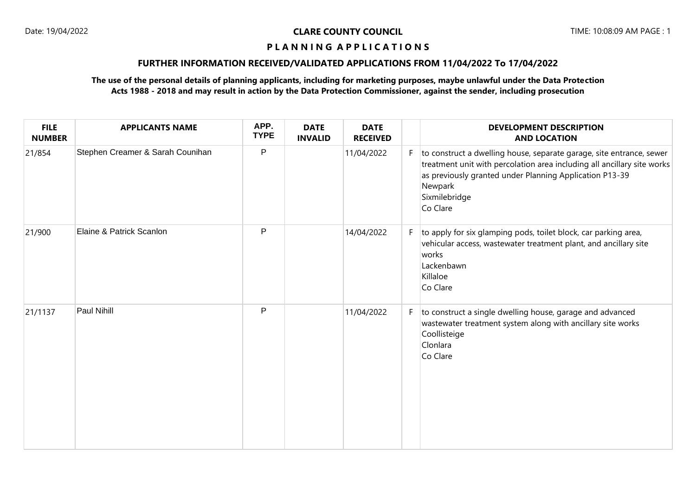# **FURTHER INFORMATION RECEIVED/VALIDATED APPLICATIONS FROM 11/04/2022 To 17/04/2022**

# **The use of the personal details of planning applicants, including for marketing purposes, maybe unlawful under the Data Protection Acts 1988 - 2018 and may result in action by the Data Protection Commissioner, against the sender, including prosecution**

| <b>FILE</b><br><b>NUMBER</b> | <b>APPLICANTS NAME</b>           | APP.<br><b>TYPE</b> | <b>DATE</b><br><b>INVALID</b> | <b>DATE</b><br><b>RECEIVED</b> |    | <b>DEVELOPMENT DESCRIPTION</b><br><b>AND LOCATION</b>                                                                                                                                                                                              |
|------------------------------|----------------------------------|---------------------|-------------------------------|--------------------------------|----|----------------------------------------------------------------------------------------------------------------------------------------------------------------------------------------------------------------------------------------------------|
| 21/854                       | Stephen Creamer & Sarah Counihan | $\mathsf{P}$        |                               | 11/04/2022                     | F  | to construct a dwelling house, separate garage, site entrance, sewer<br>treatment unit with percolation area including all ancillary site works<br>as previously granted under Planning Application P13-39<br>Newpark<br>Sixmilebridge<br>Co Clare |
| 21/900                       | Elaine & Patrick Scanlon         | P                   |                               | 14/04/2022                     | F. | to apply for six glamping pods, toilet block, car parking area,<br>vehicular access, wastewater treatment plant, and ancillary site<br>works<br>Lackenbawn<br>Killaloe<br>Co Clare                                                                 |
| 21/1137                      | Paul Nihill                      | P                   |                               | 11/04/2022                     | F. | to construct a single dwelling house, garage and advanced<br>wastewater treatment system along with ancillary site works<br>Coollisteige<br>Clonlara<br>Co Clare                                                                                   |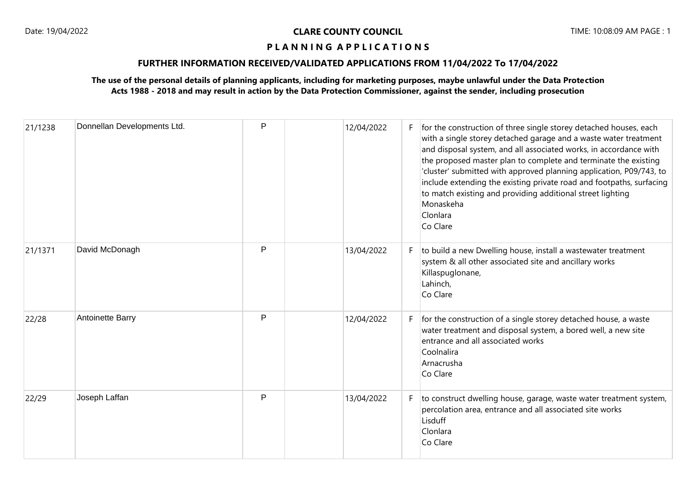# **FURTHER INFORMATION RECEIVED/VALIDATED APPLICATIONS FROM 11/04/2022 To 17/04/2022**

# **The use of the personal details of planning applicants, including for marketing purposes, maybe unlawful under the Data Protection Acts 1988 - 2018 and may result in action by the Data Protection Commissioner, against the sender, including prosecution**

| 21/1238 | Donnellan Developments Ltd. | P | 12/04/2022 | F. | for the construction of three single storey detached houses, each<br>with a single storey detached garage and a waste water treatment<br>and disposal system, and all associated works, in accordance with<br>the proposed master plan to complete and terminate the existing<br>'cluster' submitted with approved planning application, P09/743, to<br>include extending the existing private road and footpaths, surfacing<br>to match existing and providing additional street lighting<br>Monaskeha<br>Clonlara<br>Co Clare |
|---------|-----------------------------|---|------------|----|---------------------------------------------------------------------------------------------------------------------------------------------------------------------------------------------------------------------------------------------------------------------------------------------------------------------------------------------------------------------------------------------------------------------------------------------------------------------------------------------------------------------------------|
| 21/1371 | David McDonagh              | P | 13/04/2022 | F. | to build a new Dwelling house, install a wastewater treatment<br>system & all other associated site and ancillary works<br>Killaspuglonane,<br>Lahinch,<br>Co Clare                                                                                                                                                                                                                                                                                                                                                             |
| 22/28   | Antoinette Barry            | P | 12/04/2022 | F. | for the construction of a single storey detached house, a waste<br>water treatment and disposal system, a bored well, a new site<br>entrance and all associated works<br>Coolnalira<br>Arnacrusha<br>Co Clare                                                                                                                                                                                                                                                                                                                   |
| 22/29   | Joseph Laffan               | P | 13/04/2022 | F. | to construct dwelling house, garage, waste water treatment system,<br>percolation area, entrance and all associated site works<br>Lisduff<br>Clonlara<br>Co Clare                                                                                                                                                                                                                                                                                                                                                               |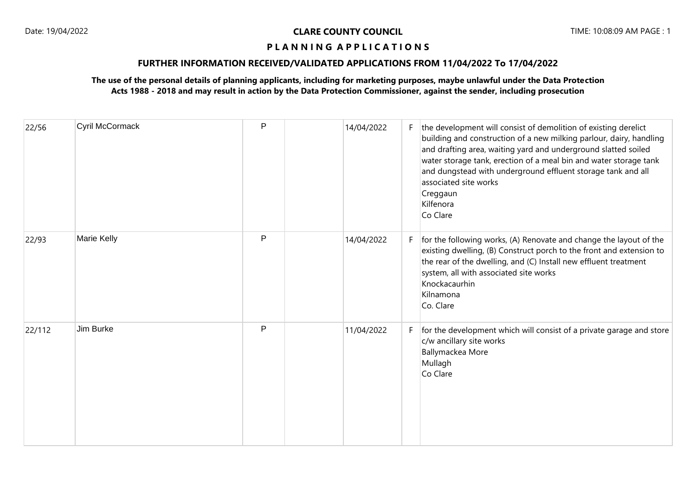# **FURTHER INFORMATION RECEIVED/VALIDATED APPLICATIONS FROM 11/04/2022 To 17/04/2022**

# **The use of the personal details of planning applicants, including for marketing purposes, maybe unlawful under the Data Protection Acts 1988 - 2018 and may result in action by the Data Protection Commissioner, against the sender, including prosecution**

| 22/56  | Cyril McCormack | P | 14/04/2022 | F. | the development will consist of demolition of existing derelict<br>building and construction of a new milking parlour, dairy, handling<br>and drafting area, waiting yard and underground slatted soiled<br>water storage tank, erection of a meal bin and water storage tank<br>and dungstead with underground effluent storage tank and all<br>associated site works<br>Creggaun<br>Kilfenora<br>Co Clare |
|--------|-----------------|---|------------|----|-------------------------------------------------------------------------------------------------------------------------------------------------------------------------------------------------------------------------------------------------------------------------------------------------------------------------------------------------------------------------------------------------------------|
| 22/93  | Marie Kelly     | P | 14/04/2022 | F. | for the following works, (A) Renovate and change the layout of the<br>existing dwelling, (B) Construct porch to the front and extension to<br>the rear of the dwelling, and (C) Install new effluent treatment<br>system, all with associated site works<br>Knockacaurhin<br>Kilnamona<br>Co. Clare                                                                                                         |
| 22/112 | Jim Burke       | P | 11/04/2022 | F. | for the development which will consist of a private garage and store<br>c/w ancillary site works<br>Ballymackea More<br>Mullagh<br>Co Clare                                                                                                                                                                                                                                                                 |